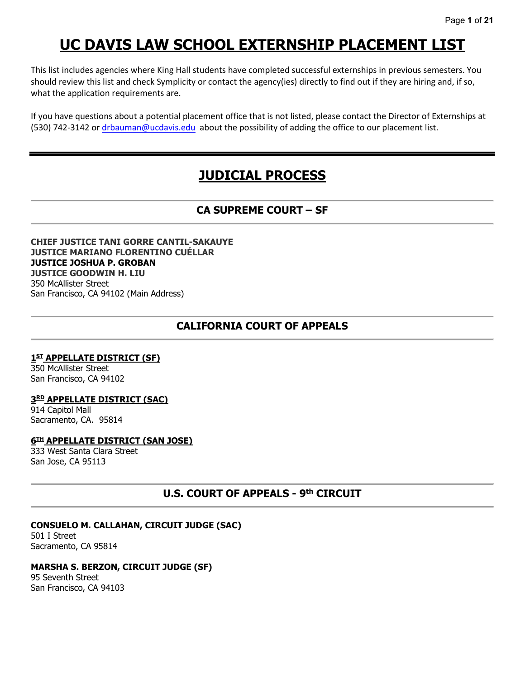# **UC DAVIS LAW SCHOOL EXTERNSHIP PLACEMENT LIST**

This list includes agencies where King Hall students have completed successful externships in previous semesters. You should review this list and check Symplicity or contact the agency(ies) directly to find out if they are hiring and, if so, what the application requirements are.

If you have questions about a potential placement office that is not listed, please contact the Director of Externships at (530) 742-3142 or [drbauman@ucdavis.edu](mailto:drbauman@ucdavis.edu) about the possibility of adding the office to our placement list.

# **JUDICIAL PROCESS**

# **CA SUPREME COURT – SF**

#### **CHIEF JUSTICE TANI GORRE CANTIL-SAKAUYE JUSTICE MARIANO FLORENTINO CUÉLLAR JUSTICE JOSHUA P. GROBAN JUSTICE GOODWIN H. LIU** 350 McAllister Street San Francisco, CA 94102 (Main Address)

# **CALIFORNIA COURT OF APPEALS**

## **1ST APPELLATE DISTRICT (SF)**

350 McAllister Street San Francisco, CA 94102

## **3RD APPELLATE DISTRICT (SAC)**

914 Capitol Mall Sacramento, CA. 95814

## **6TH APPELLATE DISTRICT (SAN JOSE)**

333 West Santa Clara Street San Jose, CA 95113

# **U.S. COURT OF APPEALS - 9th CIRCUIT**

## **CONSUELO M. CALLAHAN, CIRCUIT JUDGE (SAC)**

501 I Street Sacramento, CA 95814

#### **MARSHA S. BERZON, CIRCUIT JUDGE (SF)**

95 Seventh Street San Francisco, CA 94103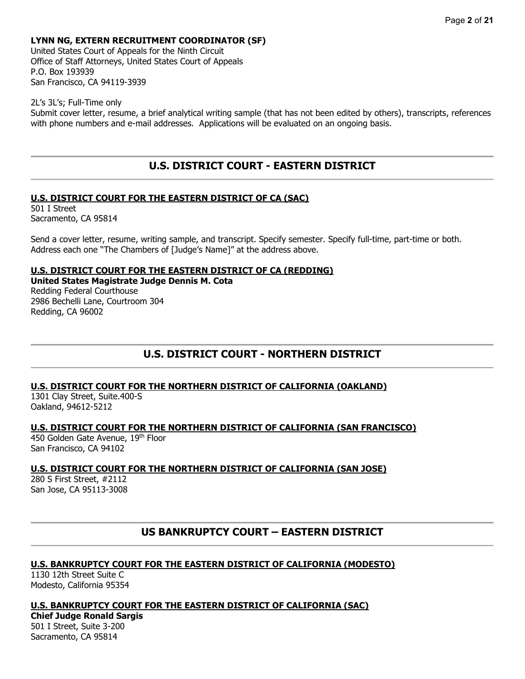## **LYNN NG, EXTERN RECRUITMENT COORDINATOR (SF)**

United States Court of Appeals for the Ninth Circuit Office of Staff Attorneys, United States Court of Appeals P.O. Box 193939 San Francisco, CA 94119-3939

2L's 3L's; Full-Time only Submit cover letter, resume, a brief analytical writing sample (that has not been edited by others), transcripts, references with phone numbers and e-mail addresses. Applications will be evaluated on an ongoing basis.

## **U.S. DISTRICT COURT - EASTERN DISTRICT**

#### **U.S. DISTRICT COURT FOR THE EASTERN DISTRICT OF CA (SAC)**

501 I Street Sacramento, CA 95814

Send a cover letter, resume, writing sample, and transcript. Specify semester. Specify full-time, part-time or both. Address each one "The Chambers of [Judge's Name]" at the address above.

#### **U.S. DISTRICT COURT FOR THE EASTERN DISTRICT OF CA (REDDING)**

**United States Magistrate Judge Dennis M. Cota** Redding Federal Courthouse 2986 Bechelli Lane, Courtroom 304 Redding, CA 96002

# **U.S. DISTRICT COURT - NORTHERN DISTRICT**

## **U.S. DISTRICT COURT FOR THE NORTHERN DISTRICT OF CALIFORNIA (OAKLAND)**

1301 Clay Street, Suite.400-S Oakland, 94612-5212

#### **U.S. DISTRICT COURT FOR THE NORTHERN DISTRICT OF CALIFORNIA (SAN FRANCISCO)**

450 Golden Gate Avenue, 19th Floor San Francisco, CA 94102

## **U.S. DISTRICT COURT FOR THE NORTHERN DISTRICT OF CALIFORNIA (SAN JOSE)**

280 S First Street, #2112 San Jose, CA 95113-3008

## **US BANKRUPTCY COURT – EASTERN DISTRICT**

#### **U.S. BANKRUPTCY COURT FOR THE EASTERN DISTRICT OF CALIFORNIA (MODESTO)**

1130 12th Street Suite C Modesto, California 95354

#### **U.S. BANKRUPTCY COURT FOR THE EASTERN DISTRICT OF CALIFORNIA (SAC)**

#### **Chief Judge Ronald Sargis**

501 I Street, Suite 3-200 Sacramento, CA 95814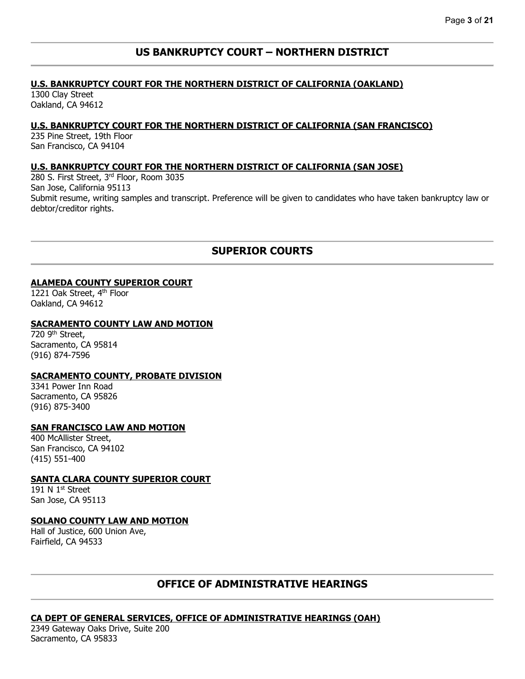## **US BANKRUPTCY COURT – NORTHERN DISTRICT**

#### **U.S. BANKRUPTCY COURT FOR THE NORTHERN DISTRICT OF CALIFORNIA (OAKLAND)**

1300 Clay Street Oakland, CA 94612

## **U.S. BANKRUPTCY COURT FOR THE NORTHERN DISTRICT OF CALIFORNIA (SAN FRANCISCO)**

235 Pine Street, 19th Floor San Francisco, CA 94104

## **U.S. BANKRUPTCY COURT FOR THE NORTHERN DISTRICT OF CALIFORNIA (SAN JOSE)**

280 S. First Street, 3rd Floor, Room 3035 San Jose, California 95113 Submit resume, writing samples and transcript. Preference will be given to candidates who have taken bankruptcy law or debtor/creditor rights.

## **SUPERIOR COURTS**

### **ALAMEDA COUNTY SUPERIOR COURT**

1221 Oak Street, 4<sup>th</sup> Floor Oakland, CA 94612

#### **SACRAMENTO COUNTY LAW AND MOTION**

720 9<sup>th</sup> Street, Sacramento, CA 95814 (916) 874-7596

#### **SACRAMENTO COUNTY, PROBATE DIVISION**

3341 Power Inn Road Sacramento, CA 95826 (916) 875-3400

#### **SAN FRANCISCO LAW AND MOTION**

400 McAllister Street, San Francisco, CA 94102 (415) 551-400

## **SANTA CLARA COUNTY SUPERIOR COURT**

191 N 1<sup>st</sup> Street San Jose, CA 95113

#### **SOLANO COUNTY LAW AND MOTION**

Hall of Justice, 600 Union Ave, Fairfield, CA 94533

# **OFFICE OF ADMINISTRATIVE HEARINGS**

## **CA DEPT OF GENERAL SERVICES, OFFICE OF ADMINISTRATIVE HEARINGS (OAH)**

2349 Gateway Oaks Drive, Suite 200 Sacramento, CA 95833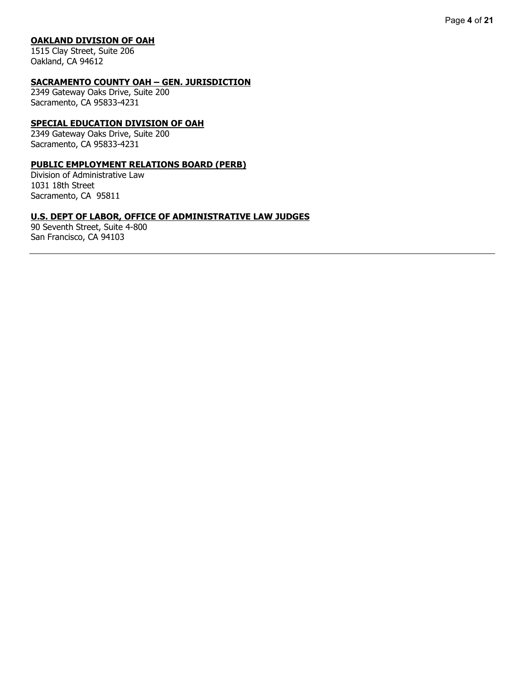#### **OAKLAND DIVISION OF OAH**

1515 Clay Street, Suite 206 Oakland, CA 94612

#### **SACRAMENTO COUNTY OAH – GEN. JURISDICTION**

2349 Gateway Oaks Drive, Suite 200 Sacramento, CA 95833-4231

#### **SPECIAL EDUCATION DIVISION OF OAH**

2349 Gateway Oaks Drive, Suite 200 Sacramento, CA 95833-4231

## **PUBLIC EMPLOYMENT RELATIONS BOARD (PERB)**

Division of Administrative Law 1031 18th Street Sacramento, CA 95811

#### **U.S. DEPT OF LABOR, OFFICE OF ADMINISTRATIVE LAW JUDGES**

90 Seventh Street, Suite 4-800 San Francisco, CA 94103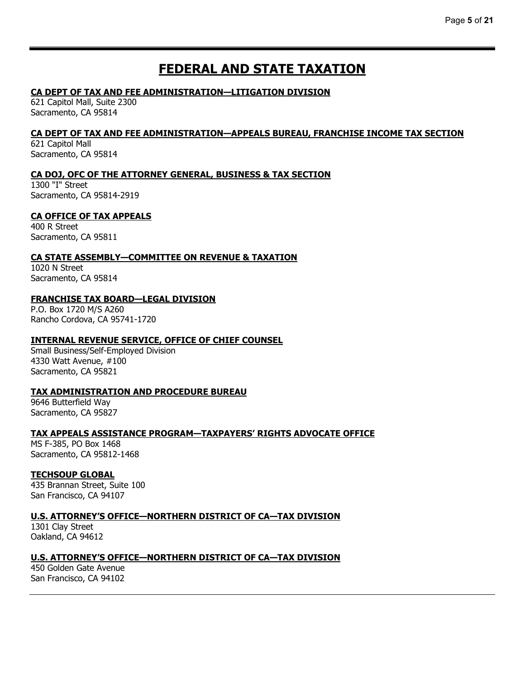# **FEDERAL AND STATE TAXATION**

## **CA DEPT OF TAX AND FEE ADMINISTRATION—LITIGATION DIVISION**

621 Capitol Mall, Suite 2300 Sacramento, CA 95814

## **CA DEPT OF TAX AND FEE ADMINISTRATION—APPEALS BUREAU, FRANCHISE INCOME TAX SECTION**

621 Capitol Mall Sacramento, CA 95814

## **CA DOJ, OFC OF THE ATTORNEY GENERAL, BUSINESS & TAX SECTION**

1300 "I" Street Sacramento, CA 95814-2919

## **CA OFFICE OF TAX APPEALS**

400 R Street Sacramento, CA 95811

## **CA STATE ASSEMBLY—COMMITTEE ON REVENUE & TAXATION**

1020 N Street Sacramento, CA 95814

## **FRANCHISE TAX BOARD—LEGAL DIVISION**

P.O. Box 1720 M/S A260 Rancho Cordova, CA 95741-1720

## **INTERNAL REVENUE SERVICE, OFFICE OF CHIEF COUNSEL**

Small Business/Self-Employed Division 4330 Watt Avenue, #100 Sacramento, CA 95821

## **TAX ADMINISTRATION AND PROCEDURE BUREAU**

9646 Butterfield Way Sacramento, CA 95827

## **TAX APPEALS ASSISTANCE PROGRAM—TAXPAYERS' RIGHTS ADVOCATE OFFICE**

MS F-385, PO Box 1468 Sacramento, CA 95812-1468

## **TECHSOUP GLOBAL**

435 Brannan Street, Suite 100 San Francisco, CA 94107

## **U.S. ATTORNEY'S OFFICE—NORTHERN DISTRICT OF CA—TAX DIVISION**

1301 Clay Street Oakland, CA 94612

## **U.S. ATTORNEY'S OFFICE—NORTHERN DISTRICT OF CA—TAX DIVISION**

450 Golden Gate Avenue San Francisco, CA 94102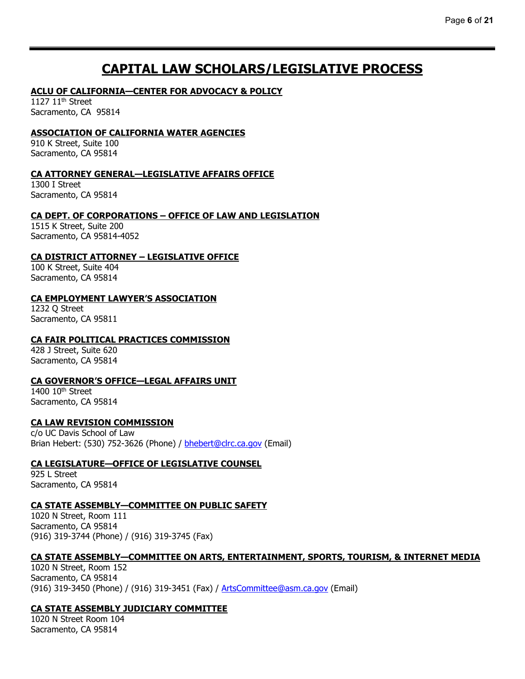# **CAPITAL LAW SCHOLARS/LEGISLATIVE PROCESS**

## **ACLU OF CALIFORNIA—CENTER FOR ADVOCACY & POLICY**

1127  $11<sup>th</sup>$  Street Sacramento, CA 95814

### **ASSOCIATION OF CALIFORNIA WATER AGENCIES**

910 K Street, Suite 100 Sacramento, CA 95814

#### **CA ATTORNEY GENERAL—LEGISLATIVE AFFAIRS OFFICE**

1300 I Street Sacramento, CA 95814

### **CA DEPT. OF CORPORATIONS – OFFICE OF LAW AND LEGISLATION**

1515 K Street, Suite 200 Sacramento, CA 95814-4052

### **CA DISTRICT ATTORNEY – LEGISLATIVE OFFICE**

100 K Street, Suite 404 Sacramento, CA 95814

### **CA EMPLOYMENT LAWYER'S ASSOCIATION**

1232 Q Street Sacramento, CA 95811

## **CA FAIR POLITICAL PRACTICES COMMISSION**

428 J Street, Suite 620 Sacramento, CA 95814

## **CA GOVERNOR'S OFFICE—LEGAL AFFAIRS UNIT**

1400 10<sup>th</sup> Street Sacramento, CA 95814

#### **CA LAW REVISION COMMISSION**

c/o UC Davis School of Law Brian Hebert: (530) 752-3626 (Phone) / [bhebert@clrc.ca.gov](mailto:bhebert@clrc.ca.gov) (Email)

#### **CA LEGISLATURE—OFFICE OF LEGISLATIVE COUNSEL**

925 L Street Sacramento, CA 95814

#### **CA STATE ASSEMBLY—COMMITTEE ON PUBLIC SAFETY**

1020 N Street, Room 111 Sacramento, CA 95814 (916) 319-3744 (Phone) / (916) 319-3745 (Fax)

#### **CA STATE ASSEMBLY—COMMITTEE ON ARTS, ENTERTAINMENT, SPORTS, TOURISM, & INTERNET MEDIA**

1020 N Street, Room 152 Sacramento, CA 95814 (916) 319-3450 (Phone) / (916) 319-3451 (Fax) / [ArtsCommittee@asm.ca.gov](mailto:ArtsCommittee@asm.ca.gov) (Email)

#### **CA STATE ASSEMBLY JUDICIARY COMMITTEE**

1020 N Street Room 104 Sacramento, CA 95814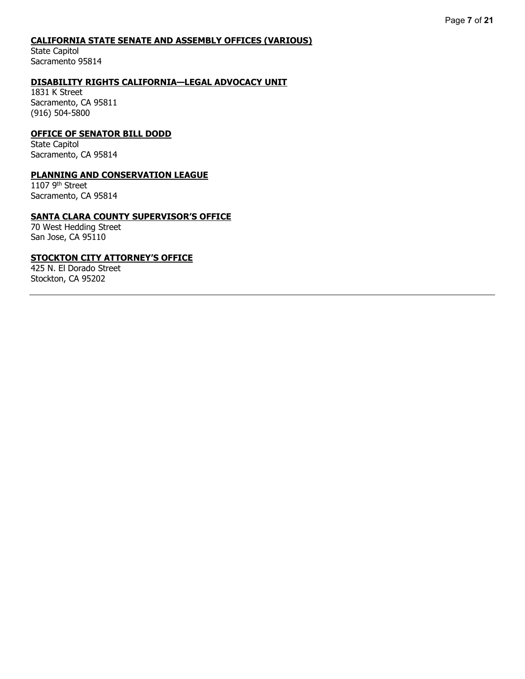#### **CALIFORNIA STATE SENATE AND ASSEMBLY OFFICES (VARIOUS)**

State Capitol Sacramento 95814

### **DISABILITY RIGHTS CALIFORNIA—LEGAL ADVOCACY UNIT**

1831 K Street Sacramento, CA 95811 (916) 504-5800

#### **OFFICE OF SENATOR BILL DODD**

State Capitol Sacramento, CA 95814

#### **PLANNING AND CONSERVATION LEAGUE**

 $1107$  9<sup>th</sup> Street Sacramento, CA 95814

#### **SANTA CLARA COUNTY SUPERVISOR'S OFFICE**

70 West Hedding Street San Jose, CA 95110

#### **STOCKTON CITY ATTORNEY'S OFFICE**

425 N. El Dorado Street Stockton, CA 95202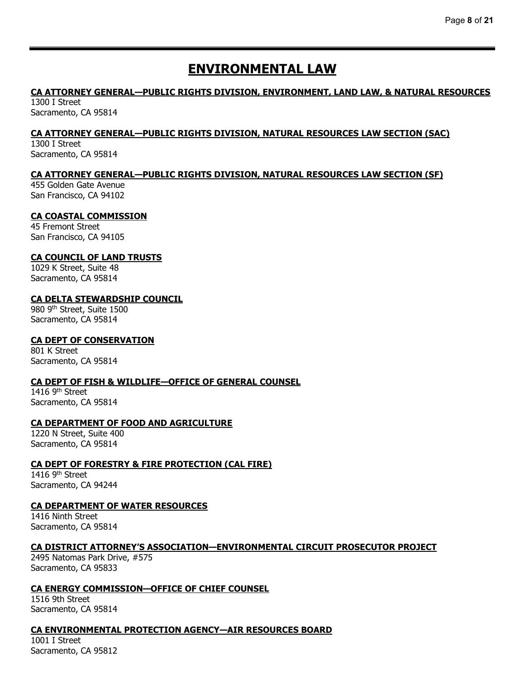# **ENVIRONMENTAL LAW**

# **CA ATTORNEY GENERAL—PUBLIC RIGHTS DIVISION, ENVIRONMENT, LAND LAW, & NATURAL RESOURCES**

1300 I Street Sacramento, CA 95814

## **CA ATTORNEY GENERAL—PUBLIC RIGHTS DIVISION, NATURAL RESOURCES LAW SECTION (SAC)**

1300 I Street Sacramento, CA 95814

## **CA ATTORNEY GENERAL—PUBLIC RIGHTS DIVISION, NATURAL RESOURCES LAW SECTION (SF)**

455 Golden Gate Avenue San Francisco, CA 94102

### **CA COASTAL COMMISSION**

45 Fremont Street San Francisco, CA 94105

### **CA COUNCIL OF LAND TRUSTS**

1029 K Street, Suite 48 Sacramento, CA 95814

### **CA DELTA STEWARDSHIP COUNCIL**

980 9th Street, Suite 1500 Sacramento, CA 95814

## **CA DEPT OF CONSERVATION**

801 K Street Sacramento, CA 95814

#### **CA DEPT OF FISH & WILDLIFE—OFFICE OF GENERAL COUNSEL**

1416 9<sup>th</sup> Street Sacramento, CA 95814

#### **CA DEPARTMENT OF FOOD AND AGRICULTURE**

1220 N Street, Suite 400 Sacramento, CA 95814

#### **CA DEPT OF FORESTRY & FIRE PROTECTION (CAL FIRE)**

1416 9th Street Sacramento, CA 94244

#### **CA DEPARTMENT OF WATER RESOURCES**

1416 Ninth Street Sacramento, CA 95814

#### **CA DISTRICT ATTORNEY'S ASSOCIATION—ENVIRONMENTAL CIRCUIT PROSECUTOR PROJECT**

2495 Natomas Park Drive, #575 Sacramento, CA 95833

#### **CA ENERGY COMMISSION—OFFICE OF CHIEF COUNSEL**

1516 9th Street Sacramento, CA 95814

## **CA ENVIRONMENTAL PROTECTION AGENCY—AIR RESOURCES BOARD**

1001 I Street Sacramento, CA 95812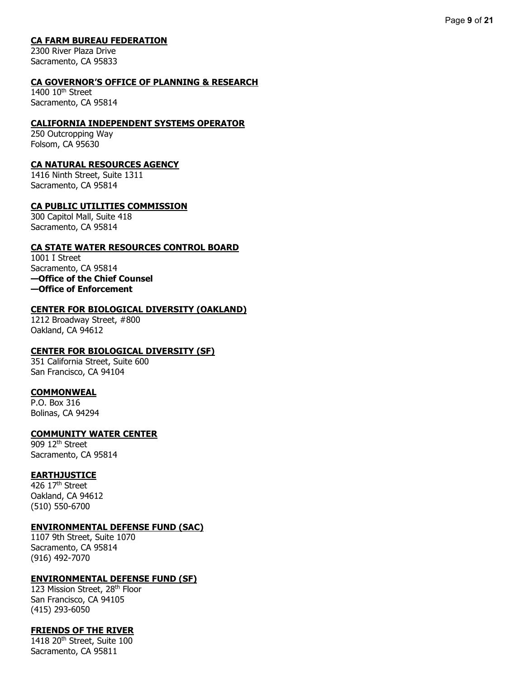## **CA FARM BUREAU FEDERATION**

2300 River Plaza Drive Sacramento, CA 95833

#### **CA GOVERNOR'S OFFICE OF PLANNING & RESEARCH**

1400 10<sup>th</sup> Street Sacramento, CA 95814

#### **CALIFORNIA INDEPENDENT SYSTEMS OPERATOR**

250 Outcropping Way Folsom, CA 95630

#### **CA NATURAL RESOURCES AGENCY**

1416 Ninth Street, Suite 1311 Sacramento, CA 95814

#### **CA PUBLIC UTILITIES COMMISSION**

300 Capitol Mall, Suite 418 Sacramento, CA 95814

### **CA STATE WATER RESOURCES CONTROL BOARD**

1001 I Street Sacramento, CA 95814 **—Office of the Chief Counsel —Office of Enforcement**

#### **CENTER FOR BIOLOGICAL DIVERSITY (OAKLAND)**

1212 Broadway Street, #800 Oakland, CA 94612

#### **CENTER FOR BIOLOGICAL DIVERSITY (SF)**

351 California Street, Suite 600 San Francisco, CA 94104

#### **COMMONWEAL**

P.O. Box 316 Bolinas, CA 94294

#### **COMMUNITY WATER CENTER**

909 12<sup>th</sup> Street Sacramento, CA 95814

#### **EARTHJUSTICE**

426 17th Street Oakland, CA 94612 (510) 550-6700

#### **ENVIRONMENTAL DEFENSE FUND (SAC)**

1107 9th Street, Suite 1070 Sacramento, CA 95814 (916) 492-7070

#### **ENVIRONMENTAL DEFENSE FUND (SF)**

123 Mission Street, 28th Floor San Francisco, CA 94105 (415) 293-6050

#### **FRIENDS OF THE RIVER**

1418 20<sup>th</sup> Street, Suite 100 Sacramento, CA 95811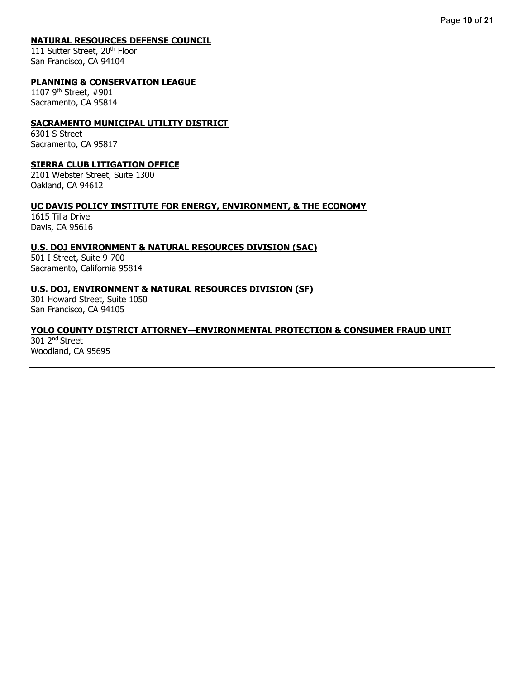#### **NATURAL RESOURCES DEFENSE COUNCIL**

111 Sutter Street, 20<sup>th</sup> Floor San Francisco, CA 94104

#### **PLANNING & CONSERVATION LEAGUE**

1107 9th Street, #901 Sacramento, CA 95814

#### **SACRAMENTO MUNICIPAL UTILITY DISTRICT**

6301 S Street Sacramento, CA 95817

#### **SIERRA CLUB LITIGATION OFFICE**

2101 Webster Street, Suite 1300 Oakland, CA 94612

#### **UC DAVIS POLICY INSTITUTE FOR ENERGY, ENVIRONMENT, & THE ECONOMY**

1615 Tilia Drive Davis, CA 95616

### **U.S. DOJ ENVIRONMENT & NATURAL RESOURCES DIVISION (SAC)**

501 I Street, Suite 9-700 Sacramento, California 95814

#### **U.S. DOJ, ENVIRONMENT & NATURAL RESOURCES DIVISION (SF)**

301 Howard Street, Suite 1050 San Francisco, CA 94105

### **YOLO COUNTY DISTRICT ATTORNEY—ENVIRONMENTAL PROTECTION & CONSUMER FRAUD UNIT**

301 2nd Street Woodland, CA 95695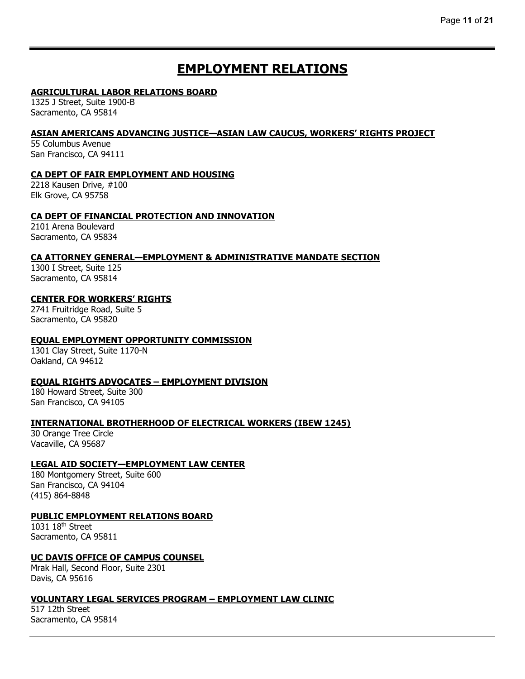# **EMPLOYMENT RELATIONS**

## **AGRICULTURAL LABOR RELATIONS BOARD**

1325 J Street, Suite 1900-B Sacramento, CA 95814

### **ASIAN AMERICANS ADVANCING JUSTICE—ASIAN LAW CAUCUS, WORKERS' RIGHTS PROJECT**

55 Columbus Avenue San Francisco, CA 94111

## **CA DEPT OF FAIR EMPLOYMENT AND HOUSING**

2218 Kausen Drive, #100 Elk Grove, CA 95758

### **CA DEPT OF FINANCIAL PROTECTION AND INNOVATION**

2101 Arena Boulevard Sacramento, CA 95834

## **CA ATTORNEY GENERAL—EMPLOYMENT & ADMINISTRATIVE MANDATE SECTION**

1300 I Street, Suite 125 Sacramento, CA 95814

## **CENTER FOR WORKERS' RIGHTS**

2741 Fruitridge Road, Suite 5 Sacramento, CA 95820

## **EQUAL EMPLOYMENT OPPORTUNITY COMMISSION**

1301 Clay Street, Suite 1170-N Oakland, CA 94612

## **EQUAL RIGHTS ADVOCATES – EMPLOYMENT DIVISION**

180 Howard Street, Suite 300 San Francisco, CA 94105

## **INTERNATIONAL BROTHERHOOD OF ELECTRICAL WORKERS (IBEW 1245)**

30 Orange Tree Circle Vacaville, CA 95687

#### **LEGAL AID SOCIETY—EMPLOYMENT LAW CENTER**

180 Montgomery Street, Suite 600 San Francisco, CA 94104 (415) 864-8848

#### **PUBLIC EMPLOYMENT RELATIONS BOARD**

1031 18th Street Sacramento, CA 95811

#### **UC DAVIS OFFICE OF CAMPUS COUNSEL**

Mrak Hall, Second Floor, Suite 2301 Davis, CA 95616

#### **VOLUNTARY LEGAL SERVICES PROGRAM – EMPLOYMENT LAW CLINIC**

517 12th Street Sacramento, CA 95814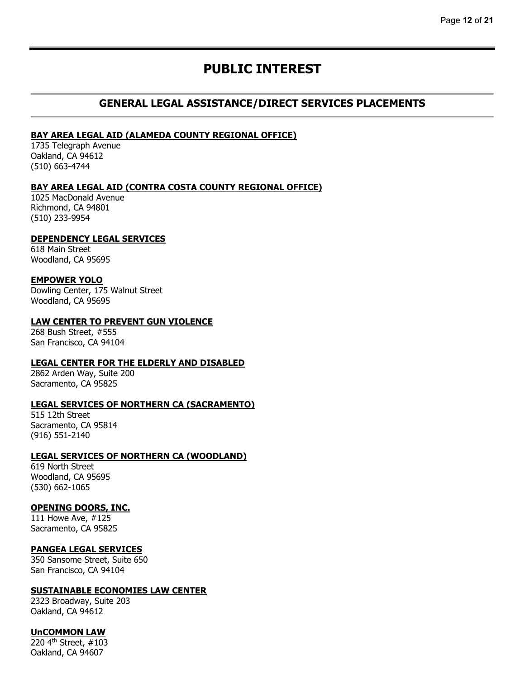# **PUBLIC INTEREST**

## **GENERAL LEGAL ASSISTANCE/DIRECT SERVICES PLACEMENTS**

#### **BAY AREA LEGAL AID (ALAMEDA COUNTY REGIONAL OFFICE)**

1735 Telegraph Avenue Oakland, CA 94612 (510) 663-4744

#### **BAY AREA LEGAL AID (CONTRA COSTA COUNTY REGIONAL OFFICE)**

1025 MacDonald Avenue Richmond, CA 94801 (510) 233-9954

#### **DEPENDENCY LEGAL SERVICES**

618 Main Street Woodland, CA 95695

#### **EMPOWER YOLO**

Dowling Center, 175 Walnut Street Woodland, CA 95695

#### **LAW CENTER TO PREVENT GUN VIOLENCE**

268 Bush Street, #555 San Francisco, CA 94104

#### **LEGAL CENTER FOR THE ELDERLY AND DISABLED**

2862 Arden Way, Suite 200 Sacramento, CA 95825

#### **LEGAL SERVICES OF NORTHERN CA (SACRAMENTO)**

515 12th Street Sacramento, CA 95814 (916) 551-2140

## **LEGAL SERVICES OF NORTHERN CA (WOODLAND)**

619 North Street Woodland, CA 95695 (530) 662-1065

#### **OPENING DOORS, INC.**

111 Howe Ave, #125 Sacramento, CA 95825

#### **PANGEA LEGAL SERVICES**

350 Sansome Street, Suite 650 San Francisco, CA 94104

#### **SUSTAINABLE ECONOMIES LAW CENTER**

2323 Broadway, Suite 203 Oakland, CA 94612

#### **UnCOMMON LAW**

220 4th Street, #103 Oakland, CA 94607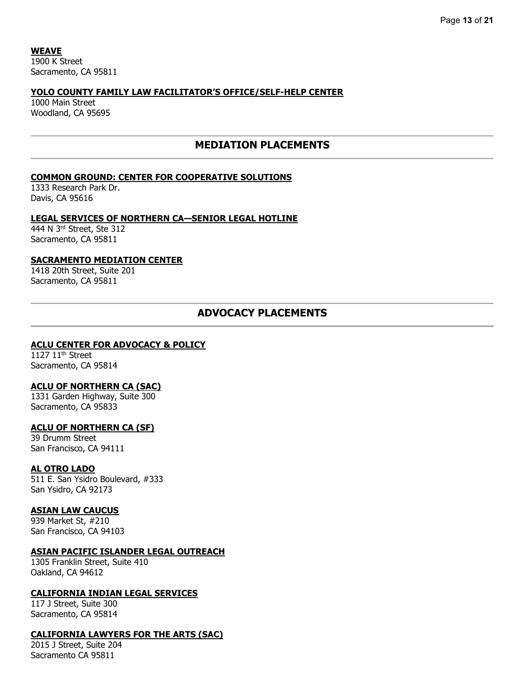**WEAVE** 1900 K Street Sacramento, CA 95811

## **YOLO COUNTY FAMILY LAW FACILITATOR'S OFFICE/SELF-HELP CENTER**

1000 Main Street Woodland, CA 95695

## **MEDIATION PLACEMENTS**

### **COMMON GROUND: CENTER FOR COOPERATIVE SOLUTIONS**

1333 Research Park Dr. Davis, CA 95616

#### **LEGAL SERVICES OF NORTHERN CA—SENIOR LEGAL HOTLINE**

444 N 3rd Street, Ste 312 Sacramento, CA 95811

#### **SACRAMENTO MEDIATION CENTER**

1418 20th Street, Suite 201 Sacramento, CA 95811

## **ADVOCACY PLACEMENTS**

#### **ACLU CENTER FOR ADVOCACY & POLICY**

1127  $11<sup>th</sup>$  Street Sacramento, CA 95814

#### **ACLU OF NORTHERN CA (SAC)**

1331 Garden Highway, Suite 300 Sacramento, CA 95833

#### **ACLU OF NORTHERN CA (SF)**

39 Drumm Street San Francisco, CA 94111

#### **AL OTRO LADO**

511 E. San Ysidro Boulevard, #333 San Ysidro, CA 92173

#### **ASIAN LAW CAUCUS**

939 Market St, #210 San Francisco, CA 94103

#### **ASIAN PACIFIC ISLANDER LEGAL OUTREACH**

1305 Franklin Street, Suite 410 Oakland, CA 94612

#### **CALIFORNIA INDIAN LEGAL SERVICES**

117 J Street, Suite 300 Sacramento, CA 95814

#### **CALIFORNIA LAWYERS FOR THE ARTS (SAC)**

2015 J Street, Suite 204 Sacramento CA 95811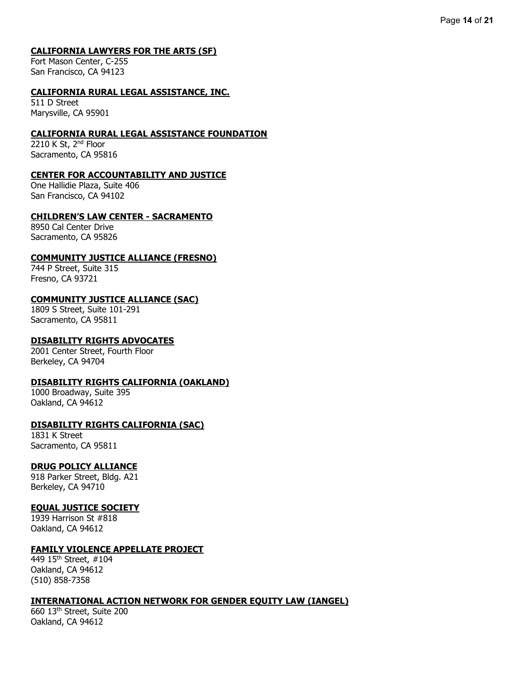#### **CALIFORNIA LAWYERS FOR THE ARTS (SF)**

Fort Mason Center, C-255 San Francisco, CA 94123

#### **CALIFORNIA RURAL LEGAL ASSISTANCE, INC.**

511 D Street Marysville, CA 95901

### **CALIFORNIA RURAL LEGAL ASSISTANCE FOUNDATION**

2210 K St, 2<sup>nd</sup> Floor Sacramento, CA 95816

#### **CENTER FOR ACCOUNTABILITY AND JUSTICE**

One Hallidie Plaza, Suite 406 San Francisco, CA 94102

## **CHILDREN'S LAW CENTER - SACRAMENTO**

8950 Cal Center Drive Sacramento, CA 95826

### **COMMUNITY JUSTICE ALLIANCE (FRESNO)**

744 P Street, Suite 315 Fresno, CA 93721

## **COMMUNITY JUSTICE ALLIANCE (SAC)**

1809 S Street, Suite 101-291 Sacramento, CA 95811

## **DISABILITY RIGHTS ADVOCATES**

2001 Center Street, Fourth Floor Berkeley, CA 94704

#### **DISABILITY RIGHTS CALIFORNIA (OAKLAND)**

1000 Broadway, Suite 395 Oakland, CA 94612

## **DISABILITY RIGHTS CALIFORNIA (SAC)**

1831 K Street Sacramento, CA 95811

## **DRUG POLICY ALLIANCE**

918 Parker Street, Bldg. A21 Berkeley, CA 94710

#### **EQUAL JUSTICE SOCIETY**

1939 Harrison St #818 Oakland, CA 94612

#### **FAMILY VIOLENCE APPELLATE PROJECT**

449 15th Street, #104 Oakland, CA 94612 (510) 858-7358

#### **INTERNATIONAL ACTION NETWORK FOR GENDER EQUITY LAW (IANGEL)**

660 13th Street, Suite 200 Oakland, CA 94612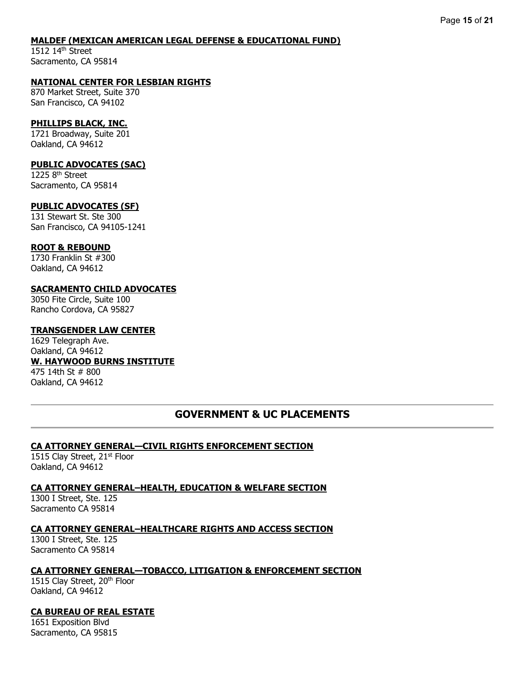#### **MALDEF (MEXICAN AMERICAN LEGAL DEFENSE & EDUCATIONAL FUND)**

1512 14<sup>th</sup> Street Sacramento, CA 95814

#### **NATIONAL CENTER FOR LESBIAN RIGHTS**

870 Market Street, Suite 370 San Francisco, CA 94102

#### **PHILLIPS BLACK, INC.**

1721 Broadway, Suite 201 Oakland, CA 94612

#### **PUBLIC ADVOCATES (SAC)**

1225 8<sup>th</sup> Street Sacramento, CA 95814

#### **PUBLIC ADVOCATES (SF)**

131 Stewart St. Ste 300 San Francisco, CA 94105-1241

#### **ROOT & REBOUND**

1730 Franklin St #300 Oakland, CA 94612

### **SACRAMENTO CHILD ADVOCATES**

3050 Fite Circle, Suite 100 Rancho Cordova, CA 95827

#### **TRANSGENDER LAW CENTER**

1629 Telegraph Ave. Oakland, CA 94612 **W. HAYWOOD BURNS INSTITUTE** 475 14th St # 800 Oakland, CA 94612

## **GOVERNMENT & UC PLACEMENTS**

## **CA ATTORNEY GENERAL—CIVIL RIGHTS ENFORCEMENT SECTION**

1515 Clay Street, 21<sup>st</sup> Floor Oakland, CA 94612

#### **CA ATTORNEY GENERAL–HEALTH, EDUCATION & WELFARE SECTION**

1300 I Street, Ste. 125 Sacramento CA 95814

#### **CA ATTORNEY GENERAL–HEALTHCARE RIGHTS AND ACCESS SECTION**

1300 I Street, Ste. 125 Sacramento CA 95814

#### **CA ATTORNEY GENERAL—TOBACCO, LITIGATION & ENFORCEMENT SECTION**

1515 Clay Street, 20<sup>th</sup> Floor Oakland, CA 94612

## **CA BUREAU OF REAL ESTATE**

1651 Exposition Blvd Sacramento, CA 95815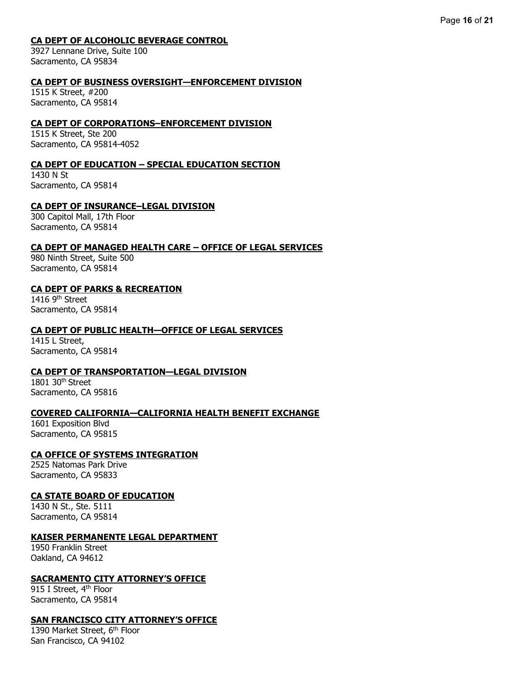## **CA DEPT OF ALCOHOLIC BEVERAGE CONTROL**

3927 Lennane Drive, Suite 100 Sacramento, CA 95834

## **CA DEPT OF BUSINESS OVERSIGHT—ENFORCEMENT DIVISION**

1515 K Street, #200 Sacramento, CA 95814

## **CA DEPT OF CORPORATIONS–ENFORCEMENT DIVISION**

1515 K Street, Ste 200 Sacramento, CA 95814-4052

## **CA DEPT OF EDUCATION – SPECIAL EDUCATION SECTION**

1430 N St Sacramento, CA 95814

## **CA DEPT OF INSURANCE–LEGAL DIVISION**

300 Capitol Mall, 17th Floor Sacramento, CA 95814

### **CA DEPT OF MANAGED HEALTH CARE – OFFICE OF LEGAL SERVICES**

980 Ninth Street, Suite 500 Sacramento, CA 95814

## **CA DEPT OF PARKS & RECREATION**

1416  $9<sup>th</sup>$  Street Sacramento, CA 95814

### **CA DEPT OF PUBLIC HEALTH—OFFICE OF LEGAL SERVICES**

1415 L Street, Sacramento, CA 95814

## **CA DEPT OF TRANSPORTATION—LEGAL DIVISION**

1801 30th Street Sacramento, CA 95816

## **COVERED CALIFORNIA—CALIFORNIA HEALTH BENEFIT EXCHANGE**

1601 Exposition Blvd Sacramento, CA 95815

## **CA OFFICE OF SYSTEMS INTEGRATION**

2525 Natomas Park Drive Sacramento, CA 95833

## **CA STATE BOARD OF EDUCATION**

1430 N St., Ste. 5111 Sacramento, CA 95814

## **KAISER PERMANENTE LEGAL DEPARTMENT**

1950 Franklin Street Oakland, CA 94612

#### **SACRAMENTO CITY ATTORNEY'S OFFICE**

915 I Street, 4<sup>th</sup> Floor Sacramento, CA 95814

## **SAN FRANCISCO CITY ATTORNEY'S OFFICE**

1390 Market Street, 6<sup>th</sup> Floor San Francisco, CA 94102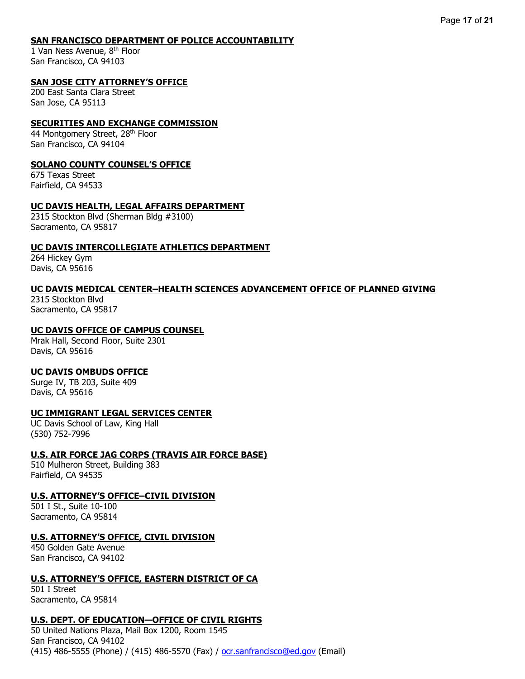#### **SAN FRANCISCO DEPARTMENT OF POLICE ACCOUNTABILITY**

1 Van Ness Avenue, 8th Floor San Francisco, CA 94103

## **SAN JOSE CITY ATTORNEY'S OFFICE**

200 East Santa Clara Street San Jose, CA 95113

#### **SECURITIES AND EXCHANGE COMMISSION**

44 Montgomery Street, 28<sup>th</sup> Floor San Francisco, CA 94104

#### **SOLANO COUNTY COUNSEL'S OFFICE**

675 Texas Street Fairfield, CA 94533

#### **UC DAVIS HEALTH, LEGAL AFFAIRS DEPARTMENT**

2315 Stockton Blvd (Sherman Bldg #3100) Sacramento, CA 95817

#### **UC DAVIS INTERCOLLEGIATE ATHLETICS DEPARTMENT**

264 Hickey Gym Davis, CA 95616

#### **UC DAVIS MEDICAL CENTER–HEALTH SCIENCES ADVANCEMENT OFFICE OF PLANNED GIVING**

2315 Stockton Blvd Sacramento, CA 95817

### **UC DAVIS OFFICE OF CAMPUS COUNSEL**

Mrak Hall, Second Floor, Suite 2301 Davis, CA 95616

#### **UC DAVIS OMBUDS OFFICE**

Surge IV, TB 203, Suite 409 Davis, CA 95616

## **UC IMMIGRANT LEGAL SERVICES CENTER**

UC Davis School of Law, King Hall (530) 752-7996

#### **U.S. AIR FORCE JAG CORPS (TRAVIS AIR FORCE BASE)**

510 Mulheron Street, Building 383 Fairfield, CA 94535

#### **U.S. ATTORNEY'S OFFICE–CIVIL DIVISION**

501 I St., Suite 10-100 Sacramento, CA 95814

#### **U.S. ATTORNEY'S OFFICE, CIVIL DIVISION**

450 Golden Gate Avenue San Francisco, CA 94102

#### **U.S. ATTORNEY'S OFFICE, EASTERN DISTRICT OF CA**

501 I Street Sacramento, CA 95814

#### **U.S. DEPT. OF EDUCATION—OFFICE OF CIVIL RIGHTS**

50 United Nations Plaza, Mail Box 1200, Room 1545 San Francisco, CA 94102 (415) 486-5555 (Phone) / (415) 486-5570 (Fax) / <u>ocr.sanfrancisco@ed.gov</u> (Email)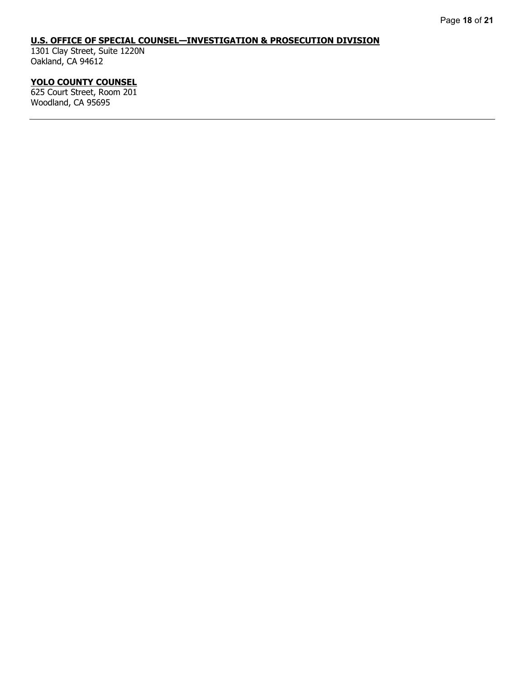## **U.S. OFFICE OF SPECIAL COUNSEL—INVESTIGATION & PROSECUTION DIVISION**

1301 Clay Street, Suite 1220N Oakland, CA 94612

# **YOLO COUNTY COUNSEL**

625 Court Street, Room 201 Woodland, CA 95695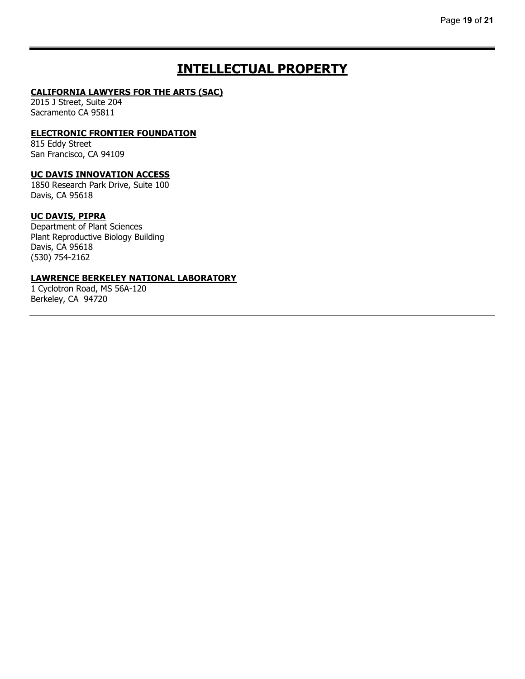# **INTELLECTUAL PROPERTY**

#### **CALIFORNIA LAWYERS FOR THE ARTS (SAC)**

2015 J Street, Suite 204 Sacramento CA 95811

#### **ELECTRONIC FRONTIER FOUNDATION**

815 Eddy Street San Francisco, CA 94109

### **UC DAVIS INNOVATION ACCESS**

1850 Research Park Drive, Suite 100 Davis, CA 95618

## **UC DAVIS, PIPRA**

Department of Plant Sciences Plant Reproductive Biology Building Davis, CA 95618 (530) 754-2162

#### **LAWRENCE BERKELEY NATIONAL LABORATORY**

1 Cyclotron Road, MS 56A-120 Berkeley, CA 94720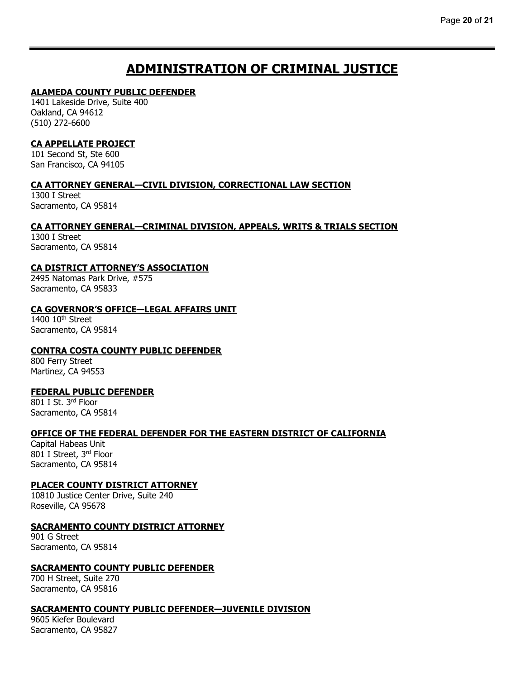# **ADMINISTRATION OF CRIMINAL JUSTICE**

#### **ALAMEDA COUNTY PUBLIC DEFENDER**

1401 Lakeside Drive, Suite 400 Oakland, CA 94612 (510) 272-6600

## **CA APPELLATE PROJECT**

101 Second St, Ste 600 San Francisco, CA 94105

### **CA ATTORNEY GENERAL—CIVIL DIVISION, CORRECTIONAL LAW SECTION**

1300 I Street Sacramento, CA 95814

## **CA ATTORNEY GENERAL—CRIMINAL DIVISION, APPEALS, WRITS & TRIALS SECTION**

1300 I Street Sacramento, CA 95814

### **CA DISTRICT ATTORNEY'S ASSOCIATION**

2495 Natomas Park Drive, #575 Sacramento, CA 95833

#### **CA GOVERNOR'S OFFICE—LEGAL AFFAIRS UNIT**

1400 10<sup>th</sup> Street Sacramento, CA 95814

## **CONTRA COSTA COUNTY PUBLIC DEFENDER**

800 Ferry Street Martinez, CA 94553

#### **FEDERAL PUBLIC DEFENDER**

801 I St. 3rd Floor Sacramento, CA 95814

#### **OFFICE OF THE FEDERAL DEFENDER FOR THE EASTERN DISTRICT OF CALIFORNIA**

Capital Habeas Unit 801 I Street, 3rd Floor Sacramento, CA 95814

## **PLACER COUNTY DISTRICT ATTORNEY**

10810 Justice Center Drive, Suite 240 Roseville, CA 95678

#### **SACRAMENTO COUNTY DISTRICT ATTORNEY**

901 G Street Sacramento, CA 95814

#### **SACRAMENTO COUNTY PUBLIC DEFENDER**

700 H Street, Suite 270 Sacramento, CA 95816

#### **SACRAMENTO COUNTY PUBLIC DEFENDER—JUVENILE DIVISION**

9605 Kiefer Boulevard Sacramento, CA 95827